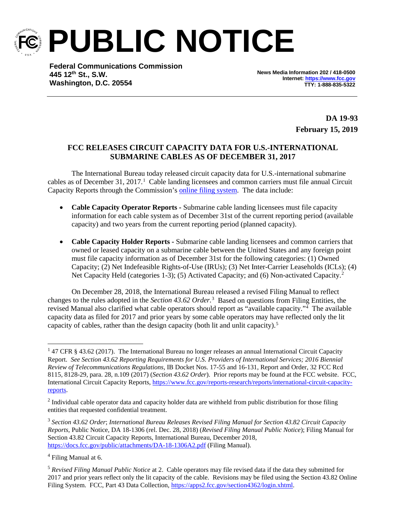

**PUBLIC NOTICE**

**Federal Communications Commission 445 12th St., S.W. Washington, D.C. 20554**

**News Media Information 202 / 418-0500 Internet[: https://www.fcc.gov](https://www.fcc.gov/) TTY: 1-888-835-5322**

> **DA 19-93 February 15, 2019**

## **FCC RELEASES CIRCUIT CAPACITY DATA FOR U.S.-INTERNATIONAL SUBMARINE CABLES AS OF DECEMBER 31, 2017**

The International Bureau today released circuit capacity data for U.S.-international submarine cables as of December 3[1](#page-0-0), 2017.<sup>1</sup> Cable landing licensees and common carriers must file annual Circuit Capacity Reports through the Commission's [online filing system.](https://apps2.fcc.gov/section4362/login.xhtml) The data include:

- **Cable Capacity Operator Reports -** Submarine cable landing licensees must file capacity information for each cable system as of December 31st of the current reporting period (available capacity) and two years from the current reporting period (planned capacity).
- **Cable Capacity Holder Reports -** Submarine cable landing licensees and common carriers that owned or leased capacity on a submarine cable between the United States and any foreign point must file capacity information as of December 31st for the following categories: (1) Owned Capacity; (2) Net Indefeasible Rights-of-Use (IRUs); (3) Net Inter-Carrier Leaseholds (ICLs); (4) Net Capacity Held (categories 1-3); (5) Activated Capacity; and (6) Non-activated Capacity.<sup>[2](#page-0-1)</sup>

On December 28, 2018, the International Bureau released a revised Filing Manual to reflect changes to the rules adopted in the *Section 4[3](#page-0-2).62 Order*.<sup>3</sup> Based on questions from Filing Entities, the revised Manual also clarified what cable operators should report as "available capacity."<sup>[4](#page-0-3)</sup> The available capacity data as filed for 2017 and prior years by some cable operators may have reflected only the lit capacity of cables, rather than the design capacity (both lit and unlit capacity).<sup>5</sup>

<span id="page-0-3"></span><sup>4</sup> Filing Manual at 6.

<span id="page-0-0"></span><sup>&</sup>lt;sup>1</sup> 47 CFR § 43.62 (2017). The International Bureau no longer releases an annual International Circuit Capacity Report. *See Section 43.62 Reporting Requirements for U.S. Providers of International Services; 2016 Biennial Review of Telecommunications Regulations*, IB Docket Nos. 17-55 and 16-131, Report and Order, 32 FCC Rcd 8115, 8128-29, para. 28, n.109 (2017) (*Section 43.62 Order*). Prior reports may be found at the FCC website. FCC, International Circuit Capacity Reports, [https://www.fcc.gov/reports-research/reports/international-circuit-capacity](https://www.fcc.gov/reports-research/reports/international-circuit-capacity-reports)[reports.](https://www.fcc.gov/reports-research/reports/international-circuit-capacity-reports)

<span id="page-0-1"></span> $2$  Individual cable operator data and capacity holder data are withheld from public distribution for those filing entities that requested confidential treatment.

<span id="page-0-2"></span><sup>3</sup> *Section 43.62 Order*; *International Bureau Releases Revised Filing Manual for Section 43.82 Circuit Capacity Reports,* Public Notice, DA 18-1306 (rel. Dec. 28, 2018) (*Revised Filing Manual Public Notice*); Filing Manual for Section 43.82 Circuit Capacity Reports, International Bureau, December 2018, <https://docs.fcc.gov/public/attachments/DA-18-1306A2.pdf> (Filing Manual).

<span id="page-0-4"></span><sup>5</sup> *Revised Filing Manual Public Notice* at 2. Cable operators may file revised data if the data they submitted for 2017 and prior years reflect only the lit capacity of the cable. Revisions may be filed using the Section 43.82 Online Filing System. FCC, Part 43 Data Collection, [https://apps2.fcc.gov/section4362/login.xhtml.](https://apps2.fcc.gov/section4362/login.xhtml)